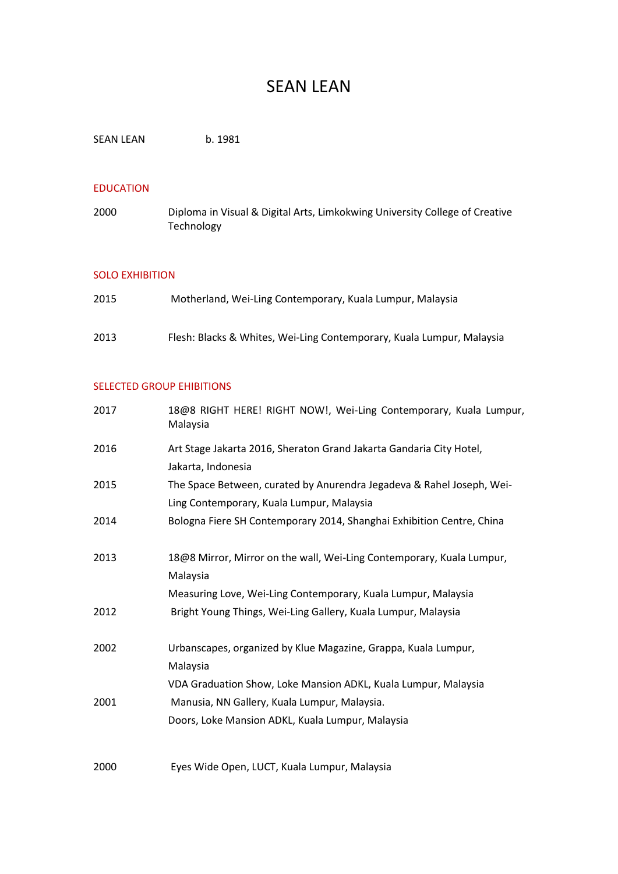# SEAN LEAN

SEAN LEAN b. 1981

### EDUCATION

2000 Diploma in Visual & Digital Arts, Limkokwing University College of Creative **Technology** 

#### SOLO EXHIBITION

| 2015 | Motherland, Wei-Ling Contemporary, Kuala Lumpur, Malaysia             |
|------|-----------------------------------------------------------------------|
| 2013 | Flesh: Blacks & Whites, Wei-Ling Contemporary, Kuala Lumpur, Malaysia |

## SELECTED GROUP EHIBITIONS

| 2017 | 18@8 RIGHT HERE! RIGHT NOW!, Wei-Ling Contemporary, Kuala Lumpur,<br>Malaysia                                                                      |
|------|----------------------------------------------------------------------------------------------------------------------------------------------------|
| 2016 | Art Stage Jakarta 2016, Sheraton Grand Jakarta Gandaria City Hotel,<br>Jakarta, Indonesia                                                          |
| 2015 | The Space Between, curated by Anurendra Jegadeva & Rahel Joseph, Wei-<br>Ling Contemporary, Kuala Lumpur, Malaysia                                 |
| 2014 | Bologna Fiere SH Contemporary 2014, Shanghai Exhibition Centre, China                                                                              |
| 2013 | 18@8 Mirror, Mirror on the wall, Wei-Ling Contemporary, Kuala Lumpur,<br>Malaysia<br>Measuring Love, Wei-Ling Contemporary, Kuala Lumpur, Malaysia |
| 2012 | Bright Young Things, Wei-Ling Gallery, Kuala Lumpur, Malaysia                                                                                      |
| 2002 | Urbanscapes, organized by Klue Magazine, Grappa, Kuala Lumpur,<br>Malaysia                                                                         |
| 2001 | VDA Graduation Show, Loke Mansion ADKL, Kuala Lumpur, Malaysia<br>Manusia, NN Gallery, Kuala Lumpur, Malaysia.                                     |
|      | Doors, Loke Mansion ADKL, Kuala Lumpur, Malaysia                                                                                                   |
| 2000 | Eyes Wide Open, LUCT, Kuala Lumpur, Malaysia                                                                                                       |